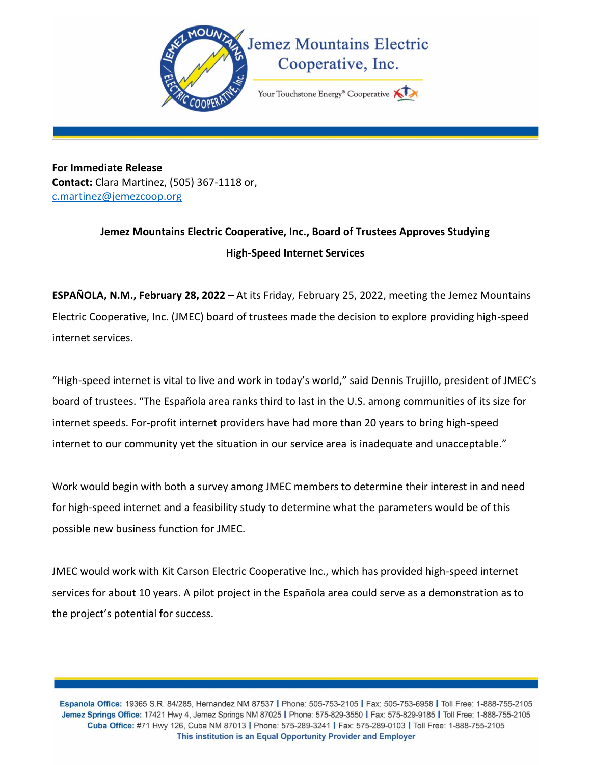

**For Immediate Release Contact:** Clara Martinez, (505) 367-1118 or, [c.martinez@jemezcoop.org](mailto:c.martinez@jemezcoop.org)

## **Jemez Mountains Electric Cooperative, Inc., Board of Trustees Approves Studying High-Speed Internet Services**

**ESPAÑOLA, N.M., February 28, 2022** – At its Friday, February 25, 2022, meeting the Jemez Mountains Electric Cooperative, Inc. (JMEC) board of trustees made the decision to explore providing high-speed internet services.

"High-speed internet is vital to live and work in today's world," said Dennis Trujillo, president of JMEC's board of trustees. "The Española area ranks third to last in the U.S. among communities of its size for internet speeds. For-profit internet providers have had more than 20 years to bring high-speed internet to our community yet the situation in our service area is inadequate and unacceptable."

Work would begin with both a survey among JMEC members to determine their interest in and need for high-speed internet and a feasibility study to determine what the parameters would be of this possible new business function for JMEC.

JMEC would work with Kit Carson Electric Cooperative Inc., which has provided high-speed internet services for about 10 years. A pilot project in the Española area could serve as a demonstration as to the project's potential for success.

Espanola Office: 19365 S.R. 84/285, Hernandez NM 87537 | Phone: 505-753-2105 | Fax: 505-753-6958 | Toll Free: 1-888-755-2105 Jemez Springs Office: 17421 Hwy 4, Jemez Springs NM 87025 | Phone: 575-829-3550 | Fax: 575-829-9185 | Toll Free: 1-888-755-2105 Cuba Office: #71 Hwy 126, Cuba NM 87013 | Phone: 575-289-3241 | Fax: 575-289-0103 | Toll Free: 1-888-755-2105 This institution is an Equal Opportunity Provider and Employer